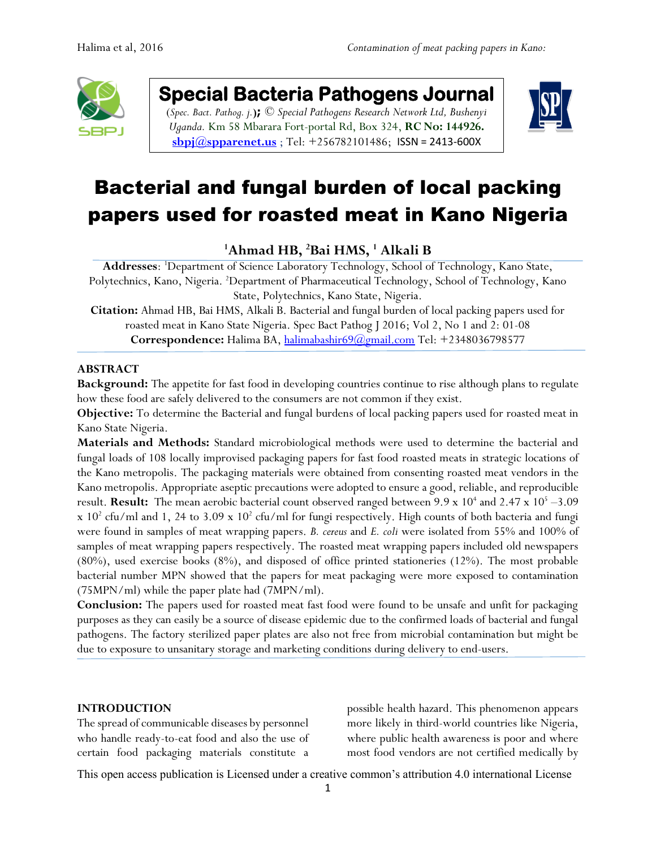

**Special Bacteria Pathogens Journal** 

(*Spec. Bact. Pathog. j.***);** *© Special Pathogens Research Network Ltd, Bushenyi Uganda.* Km 58 Mbarara Fort-portal Rd, Box 324, **RC No: 144926. [sbpj@spparenet.us](mailto:sbpj@spparenet.us)** ; Tel: +256782101486; [ISSN = 2413-600X](https://www.google.com/url?sa=t&rct=j&q=&esrc=s&source=web&cd=1&cad=rja&uact=8&ved=0ahUKEwiFp5Ggge_XAhWpAsAKHapIARsQFggqMAA&url=http%3A%2F%2Fwww.spparenet.us%2FSBPJ%2Fscope%2F&usg=AOvVaw3D79hMirI6WLP01DNutMuL)



# Bacterial and fungal burden of local packing papers used for roasted meat in Kano Nigeria

**<sup>1</sup>Ahmad HB, <sup>2</sup>Bai HMS, <sup>1</sup> Alkali B**

**Addresses**: <sup>1</sup>Department of Science Laboratory Technology, School of Technology, Kano State, Polytechnics, Kano, Nigeria. <sup>2</sup>Department of Pharmaceutical Technology, School of Technology, Kano State, Polytechnics, Kano State, Nigeria.

**Citation:** Ahmad HB, Bai HMS, Alkali B. Bacterial and fungal burden of local packing papers used for roasted meat in Kano State Nigeria. Spec Bact Pathog J 2016; Vol 2, No 1 and 2: 01-08 **Correspondence:** Halima BA, [halimabashir69@gmail.com](mailto:halimabashir69@gmail.com) Tel: +2348036798577

### **ABSTRACT**

**Background:** The appetite for fast food in developing countries continue to rise although plans to regulate how these food are safely delivered to the consumers are not common if they exist.

**Objective:** To determine the Bacterial and fungal burdens of local packing papers used for roasted meat in Kano State Nigeria.

**Materials and Methods:** Standard microbiological methods were used to determine the bacterial and fungal loads of 108 locally improvised packaging papers for fast food roasted meats in strategic locations of the Kano metropolis. The packaging materials were obtained from consenting roasted meat vendors in the Kano metropolis. Appropriate aseptic precautions were adopted to ensure a good, reliable, and reproducible result. Result: The mean aerobic bacterial count observed ranged between 9.9 x 10<sup>4</sup> and 2.47 x 10<sup>5</sup> -3.09  $x$  10<sup>2</sup> cfu/ml and 1, 24 to 3.09  $x$  10<sup>2</sup> cfu/ml for fungi respectively. High counts of both bacteria and fungi were found in samples of meat wrapping papers. *B. cereus* and *E. coli* were isolated from 55% and 100% of samples of meat wrapping papers respectively. The roasted meat wrapping papers included old newspapers (80%), used exercise books (8%), and disposed of office printed stationeries (12%). The most probable bacterial number MPN showed that the papers for meat packaging were more exposed to contamination (75MPN/ml) while the paper plate had (7MPN/ml).

**Conclusion:** The papers used for roasted meat fast food were found to be unsafe and unfit for packaging purposes as they can easily be a source of disease epidemic due to the confirmed loads of bacterial and fungal pathogens. The factory sterilized paper plates are also not free from microbial contamination but might be due to exposure to unsanitary storage and marketing conditions during delivery to end-users.

#### **INTRODUCTION**

The spread of communicable diseases by personnel who handle ready-to-eat food and also the use of certain food packaging materials constitute a

possible health hazard. This phenomenon appears more likely in third-world countries like Nigeria, where public health awareness is poor and where most food vendors are not certified medically by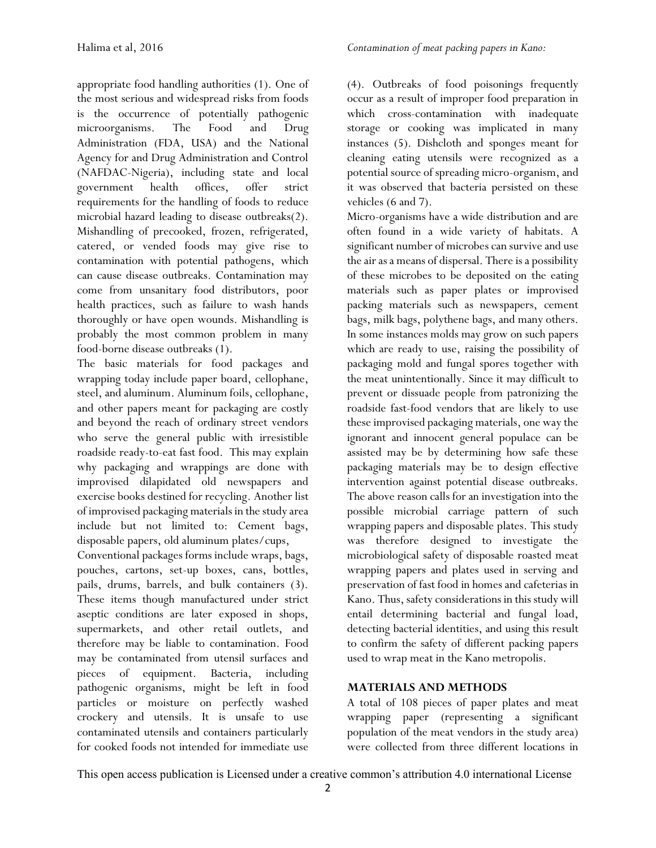appropriate food handling authorities (1). One of the most serious and widespread risks from foods is the occurrence of potentially pathogenic microorganisms. The Food and Drug Administration (FDA, USA) and the National Agency for and Drug Administration and Control (NAFDAC-Nigeria), including state and local government health offices, offer strict requirements for the handling of foods to reduce microbial hazard leading to disease outbreaks(2). Mishandling of precooked, frozen, refrigerated, catered, or vended foods may give rise to contamination with potential pathogens, which can cause disease outbreaks. Contamination may come from unsanitary food distributors, poor health practices, such as failure to wash hands thoroughly or have open wounds. Mishandling is probably the most common problem in many food-borne disease outbreaks (1).

The basic materials for food packages and wrapping today include paper board, cellophane, steel, and aluminum. Aluminum foils, cellophane, and other papers meant for packaging are costly and beyond the reach of ordinary street vendors who serve the general public with irresistible roadside ready-to-eat fast food. This may explain why packaging and wrappings are done with improvised dilapidated old newspapers and exercise books destined for recycling. Another list of improvised packaging materials in the study area include but not limited to: Cement bags, disposable papers, old aluminum plates/cups,

Conventional packages forms include wraps, bags, pouches, cartons, set-up boxes, cans, bottles, pails, drums, barrels, and bulk containers (3). These items though manufactured under strict aseptic conditions are later exposed in shops, supermarkets, and other retail outlets, and therefore may be liable to contamination. Food may be contaminated from utensil surfaces and pieces of equipment. Bacteria, including pathogenic organisms, might be left in food particles or moisture on perfectly washed crockery and utensils. It is unsafe to use contaminated utensils and containers particularly for cooked foods not intended for immediate use

(4). Outbreaks of food poisonings frequently occur as a result of improper food preparation in which cross-contamination with inadequate storage or cooking was implicated in many instances (5). Dishcloth and sponges meant for cleaning eating utensils were recognized as a potential source of spreading micro-organism, and it was observed that bacteria persisted on these vehicles (6 and 7).

Micro-organisms have a wide distribution and are often found in a wide variety of habitats. A significant number of microbes can survive and use the air as a means of dispersal. There is a possibility of these microbes to be deposited on the eating materials such as paper plates or improvised packing materials such as newspapers, cement bags, milk bags, polythene bags, and many others. In some instances molds may grow on such papers which are ready to use, raising the possibility of packaging mold and fungal spores together with the meat unintentionally. Since it may difficult to prevent or dissuade people from patronizing the roadside fast-food vendors that are likely to use these improvised packaging materials, one way the ignorant and innocent general populace can be assisted may be by determining how safe these packaging materials may be to design effective intervention against potential disease outbreaks. The above reason calls for an investigation into the possible microbial carriage pattern of such wrapping papers and disposable plates. This study was therefore designed to investigate the microbiological safety of disposable roasted meat wrapping papers and plates used in serving and preservation of fast food in homes and cafeterias in Kano. Thus, safety considerations in this study will entail determining bacterial and fungal load, detecting bacterial identities, and using this result to confirm the safety of different packing papers used to wrap meat in the Kano metropolis.

# **MATERIALS AND METHODS**

A total of 108 pieces of paper plates and meat wrapping paper (representing a significant population of the meat vendors in the study area) were collected from three different locations in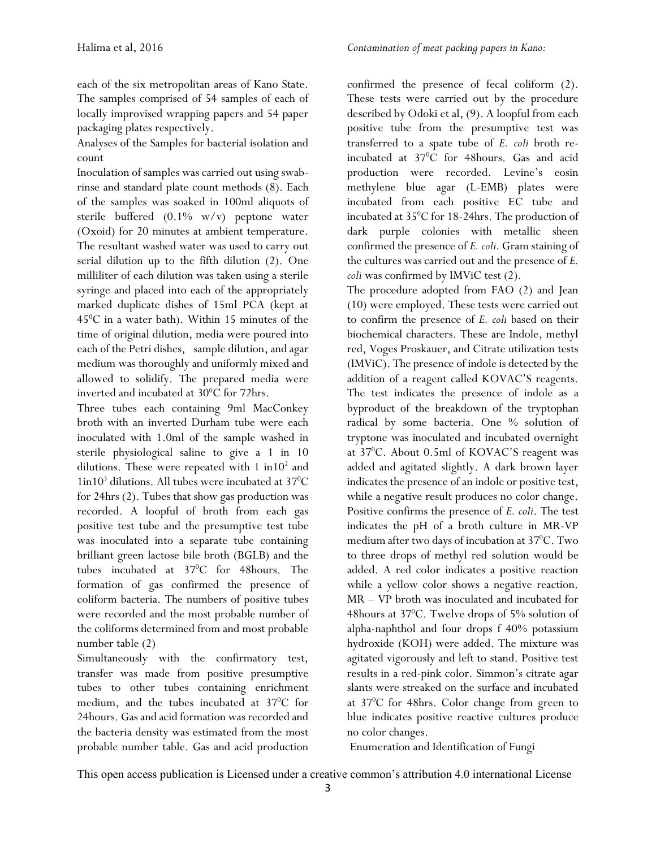each of the six metropolitan areas of Kano State. The samples comprised of 54 samples of each of locally improvised wrapping papers and 54 paper packaging plates respectively.

Analyses of the Samples for bacterial isolation and count

Inoculation of samples was carried out using swabrinse and standard plate count methods (8). Each of the samples was soaked in 100ml aliquots of sterile buffered (0.1% w/v) peptone water (Oxoid) for 20 minutes at ambient temperature. The resultant washed water was used to carry out serial dilution up to the fifth dilution (2). One milliliter of each dilution was taken using a sterile syringe and placed into each of the appropriately marked duplicate dishes of 15ml PCA (kept at  $45^{\circ}$ C in a water bath). Within 15 minutes of the time of original dilution, media were poured into each of the Petri dishes, sample dilution, and agar medium was thoroughly and uniformly mixed and allowed to solidify. The prepared media were inverted and incubated at  $30^{\circ}$ C for 72hrs.

Three tubes each containing 9ml MacConkey broth with an inverted Durham tube were each inoculated with 1.0ml of the sample washed in sterile physiological saline to give a 1 in 10 dilutions. These were repeated with  $1 \text{ in } 10^2$  and  $1$ in $10<sup>3</sup>$  dilutions. All tubes were incubated at 37<sup>0</sup>C for 24hrs (2). Tubes that show gas production was recorded. A loopful of broth from each gas positive test tube and the presumptive test tube was inoculated into a separate tube containing brilliant green lactose bile broth (BGLB) and the tubes incubated at 37°C for 48hours. The formation of gas confirmed the presence of coliform bacteria. The numbers of positive tubes were recorded and the most probable number of the coliforms determined from and most probable number table (2)

Simultaneously with the confirmatory test, transfer was made from positive presumptive tubes to other tubes containing enrichment medium, and the tubes incubated at 37<sup>o</sup>C for 24hours. Gas and acid formation was recorded and the bacteria density was estimated from the most probable number table. Gas and acid production confirmed the presence of fecal coliform (2). These tests were carried out by the procedure described by Odoki et al, (9). A loopful from each positive tube from the presumptive test was transferred to a spate tube of *E. coli* broth reincubated at 37°C for 48hours. Gas and acid production were recorded. Levine's eosin methylene blue agar (L-EMB) plates were incubated from each positive EC tube and incubated at 35<sup>°</sup>C for 18-24hrs. The production of dark purple colonies with metallic sheen confirmed the presence of *E. coli.* Gram staining of the cultures was carried out and the presence of *E. coli* was confirmed by IMViC test (2).

The procedure adopted from FAO (2) and Jean (10) were employed. These tests were carried out to confirm the presence of *E. coli* based on their biochemical characters. These are Indole, methyl red, Voges Proskauer, and Citrate utilization tests (IMViC). The presence of indole is detected by the addition of a reagent called KOVAC'S reagents. The test indicates the presence of indole as a byproduct of the breakdown of the tryptophan radical by some bacteria. One % solution of tryptone was inoculated and incubated overnight at 37<sup>0</sup>C. About 0.5ml of KOVAC'S reagent was added and agitated slightly. A dark brown layer indicates the presence of an indole or positive test, while a negative result produces no color change. Positive confirms the presence of *E. coli*. The test indicates the pH of a broth culture in MR-VP medium after two days of incubation at 37<sup>o</sup>C. Two to three drops of methyl red solution would be added. A red color indicates a positive reaction while a yellow color shows a negative reaction. MR – VP broth was inoculated and incubated for 48 hours at  $37^{\circ}$ C. Twelve drops of  $5\%$  solution of alpha-naphthol and four drops f 40% potassium hydroxide (KOH) were added. The mixture was agitated vigorously and left to stand. Positive test results in a red-pink color. Simmon's citrate agar slants were streaked on the surface and incubated at 37<sup>0</sup>C for 48hrs. Color change from green to blue indicates positive reactive cultures produce no color changes.

Enumeration and Identification of Fungi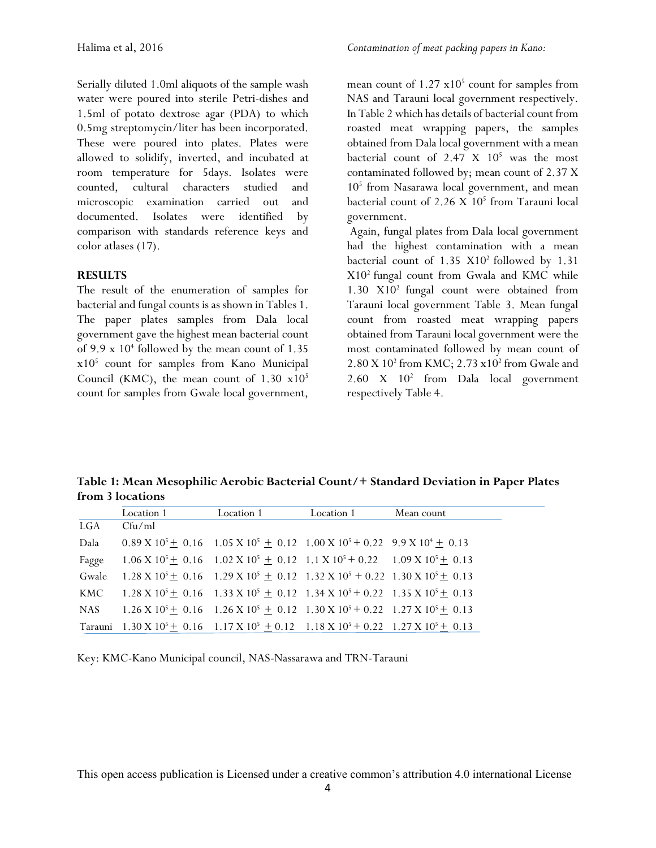Serially diluted 1.0ml aliquots of the sample wash water were poured into sterile Petri-dishes and 1.5ml of potato dextrose agar (PDA) to which 0.5mg streptomycin/liter has been incorporated. These were poured into plates. Plates were allowed to solidify, inverted, and incubated at room temperature for 5days. Isolates were counted, cultural characters studied and microscopic examination carried out and documented. Isolates were identified by comparison with standards reference keys and color atlases (17).

### **RESULTS**

The result of the enumeration of samples for bacterial and fungal counts is as shown in Tables 1. The paper plates samples from Dala local government gave the highest mean bacterial count of 9.9 x 10<sup>4</sup> followed by the mean count of 1.35 x10<sup>5</sup> count for samples from Kano Municipal Council (KMC), the mean count of  $1.30 \times 10^5$ count for samples from Gwale local government,

mean count of  $1.27 \times 10^5$  count for samples from NAS and Tarauni local government respectively. In Table 2 which has details of bacterial count from roasted meat wrapping papers, the samples obtained from Dala local government with a mean bacterial count of  $2.47 \times 10^5$  was the most contaminated followed by; mean count of 2.37 X 10<sup>5</sup> from Nasarawa local government, and mean bacterial count of 2.26 X 10<sup>5</sup> from Tarauni local government.

Again, fungal plates from Dala local government had the highest contamination with a mean bacterial count of  $1.35 \text{ X}10^2$  followed by  $1.31$  $X10<sup>2</sup>$  fungal count from Gwala and KMC while  $1.30 \times 10^2$  fungal count were obtained from Tarauni local government Table 3. Mean fungal count from roasted meat wrapping papers obtained from Tarauni local government were the most contaminated followed by mean count of 2.80 X 10<sup>2</sup> from KMC; 2.73 x10<sup>2</sup> from Gwale and 2.60 X 10<sup>2</sup> from Dala local government respectively Table 4.

**Table 1: Mean Mesophilic Aerobic Bacterial Count/+ Standard Deviation in Paper Plates from 3 locations**

|       | Location 1 | Location 1                                                                                                                      | Location 1 | Mean count |
|-------|------------|---------------------------------------------------------------------------------------------------------------------------------|------------|------------|
| LGA   | Cfu/ml     |                                                                                                                                 |            |            |
| Dala  |            | $0.89 \text{ X } 10^5 \pm 0.16$ $1.05 \text{ X } 10^5 \pm 0.12$ $1.00 \text{ X } 10^5 + 0.22$ $9.9 \text{ X } 10^4 \pm 0.13$    |            |            |
| Fagge |            | $1.06 \text{ X } 10^5 \pm 0.16$ $1.02 \text{ X } 10^5 \pm 0.12$ $1.1 \text{ X } 10^5 \pm 0.22$ $1.09 \text{ X } 10^5 \pm 0.13$  |            |            |
| Gwale |            | $1.28 \text{ X } 10^5 + 0.16$ $1.29 \text{ X } 10^5 + 0.12$ $1.32 \text{ X } 10^5 + 0.22$ $1.30 \text{ X } 10^5 + 0.13$         |            |            |
| KMC   |            | $1.28 \text{ X } 10^5 \pm 0.16$ $1.33 \text{ X } 10^5 \pm 0.12$ $1.34 \text{ X } 10^5 \pm 0.22$ $1.35 \text{ X } 10^5 \pm 0.13$ |            |            |
| NAS - |            | $1.26 \text{ X } 10^5 \pm 0.16$ $1.26 \text{ X } 10^5 \pm 0.12$ $1.30 \text{ X } 10^5 + 0.22$ $1.27 \text{ X } 10^5 \pm 0.13$   |            |            |
|       |            | Tarauni $1.30 \text{ X } 10^5 + 0.16 + 1.17 \text{ X } 10^5 + 0.12 + 1.18 \text{ X } 10^5 + 0.22 + 1.27 \text{ X } 10^5 + 0.13$ |            |            |

Key: KMC-Kano Municipal council, NAS-Nassarawa and TRN-Tarauni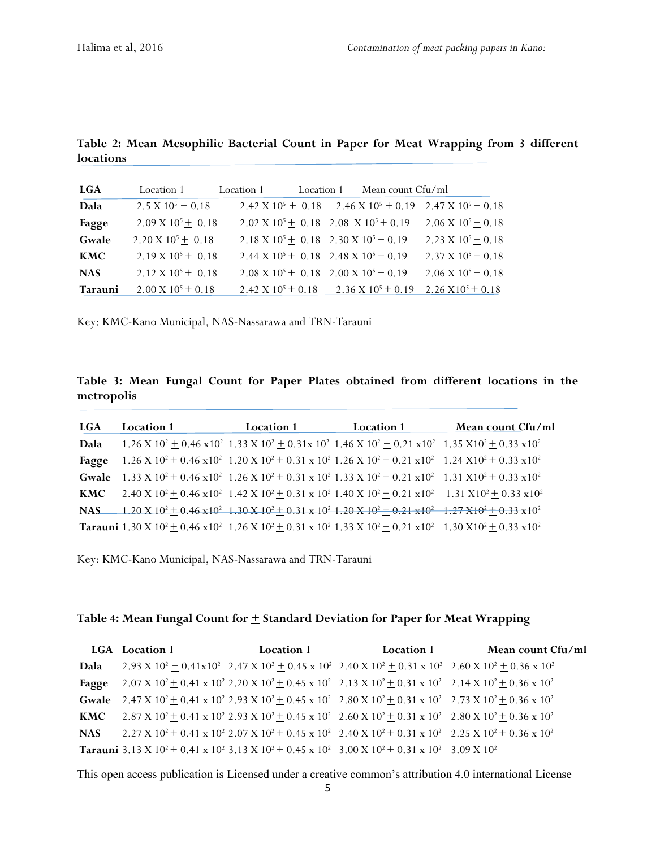| <b>LGA</b> | Location 1                    | Location 1                    | Location 1 | Mean count Cfu/ml                                               |                                                                |
|------------|-------------------------------|-------------------------------|------------|-----------------------------------------------------------------|----------------------------------------------------------------|
| Dala       | 2.5 X $10^5 \pm 0.18$         |                               |            |                                                                 | 2.42 X $10^5$ + 0.18 2.46 X $10^5$ + 0.19 2.47 X $10^5$ + 0.18 |
| Fagge      | $2.09 \text{ X } 10^5 + 0.18$ |                               |            | $2.02 \text{ X } 10^5 \pm 0.18$ 2.08 X $10^5 \pm 0.19$          | $2.06 \text{ X } 10^5 + 0.18$                                  |
| Gwale      | $2.20 \text{ X } 10^5 + 0.18$ |                               |            | $2.18 \text{ X } 10^5 + 0.18$ $2.30 \text{ X } 10^5 + 0.19$     | $2.23 \text{ X } 10^5 + 0.18$                                  |
| <b>KMC</b> | $2.19 \text{ X } 10^5 + 0.18$ |                               |            | $2.44 \text{ X } 10^5 + 0.18$ $2.48 \text{ X } 10^5 + 0.19$     | $2.37 \times 10^5 + 0.18$                                      |
| <b>NAS</b> | $2.12 \text{ X } 10^5 + 0.18$ |                               |            | $2.08 \text{ X } 10^5 \pm 0.18$ $2.00 \text{ X } 10^5 \pm 0.19$ | $2.06 \text{ X } 10^5 + 0.18$                                  |
| Tarauni    | $2.00 \text{ X } 10^5 + 0.18$ | $2.42 \text{ X } 10^5 + 0.18$ |            | $2.36 \times 10^5 + 0.19$                                       | $2.26 \times 10^5 + 0.18$                                      |

**Table 2: Mean Mesophilic Bacterial Count in Paper for Meat Wrapping from 3 different locations**

Key: KMC-Kano Municipal, NAS-Nassarawa and TRN-Tarauni

**Table 3: Mean Fungal Count for Paper Plates obtained from different locations in the metropolis**

| <b>LGA</b> | Location 1 | <b>Location 1</b> | Location 1                                                                                                                                                                                                                        | Mean count Cfu/ml |
|------------|------------|-------------------|-----------------------------------------------------------------------------------------------------------------------------------------------------------------------------------------------------------------------------------|-------------------|
| Dala       |            |                   | $1.26 \text{ X } 10^2 \pm 0.46 \text{ x } 10^2$ 1.33 X $10^2 \pm 0.31 \text{ x } 10^2$ 1.46 X $10^2 \pm 0.21 \text{ x } 10^2$ 1.35 X $10^2 \pm 0.33 \text{ x } 10^2$                                                              |                   |
| Fagge      |            |                   | $1.26 \text{ X } 10^2 \pm 0.46 \text{ x} 10^2$ 1.20 X $10^2 \pm 0.31 \text{ x } 10^2$ 1.26 X $10^2 \pm 0.21 \text{ x} 10^2$ 1.24 X $10^2 \pm 0.33 \text{ x} 10^2$                                                                 |                   |
|            |            |                   | Gwale $1.33 \text{ X } 10^2 \pm 0.46 \text{ x} 10^2$ $1.26 \text{ X } 10^2 \pm 0.31 \text{ x } 10^2$ $1.33 \text{ X } 10^2 \pm 0.21 \text{ x} 10^2$ $1.31 \text{ X } 10^2 \pm 0.33 \text{ x } 10^2$                               |                   |
|            |            |                   | <b>KMC</b> 2.40 X $10^2 \pm 0.46 \times 10^2$ 1.42 X $10^2 \pm 0.31 \times 10^2$ 1.40 X $10^2 \pm 0.21 \times 10^2$ 1.31 X $10^2 \pm 0.33 \times 10^2$                                                                            |                   |
| NAS        |            |                   | $1.20 \times 10^2 + 0.46 \times 10^2$ 1.30 $\times$ 10 <sup>2</sup> + 0.31 $\times$ 10 <sup>2</sup> 1.20 $\times$ 10 <sup>2</sup> + 0.21 $\times$ 10 <sup>2</sup> + 1.27 $\times$ 10 <sup>2</sup> + 0.33 $\times$ 10 <sup>2</sup> |                   |
|            |            |                   | <b>Tarauni</b> 1.30 X $10^2 \pm 0.46 \times 10^2$ 1.26 X $10^2 \pm 0.31 \times 10^2$ 1.33 X $10^2 \pm 0.21 \times 10^2$ 1.30 X $10^2 \pm 0.33 \times 10^2$                                                                        |                   |

Key: KMC-Kano Municipal, NAS-Nassarawa and TRN-Tarauni

#### Table 4: Mean Fungal Count for  $\pm$  Standard Deviation for Paper for Meat Wrapping

|            | <b>LGA</b> Location 1 | <b>Location 1</b> | Location 1                                                                                                                                                                                                           | Mean count Cfu/ml |
|------------|-----------------------|-------------------|----------------------------------------------------------------------------------------------------------------------------------------------------------------------------------------------------------------------|-------------------|
| Dala       |                       |                   | 2.93 X $10^2 \pm 0.41 \times 10^2$ 2.47 X $10^2 \pm 0.45 \times 10^2$ 2.40 X $10^2 \pm 0.31 \times 10^2$ 2.60 X $10^2 \pm 0.36 \times 10^2$                                                                          |                   |
| Fagge      |                       |                   | $2.07 \text{ X } 10^2 \pm 0.41 \text{ x } 10^2 \text{ } 2.20 \text{ X } 10^2 \pm 0.45 \text{ x } 10^2 \text{ } 2.13 \text{ X } 10^2 \pm 0.31 \text{ x } 10^2 \text{ } 2.14 \text{ X } 10^2 \pm 0.36 \text{ x } 10^2$ |                   |
|            |                       |                   | <b>Gwale</b> 2.47 X $10^2 \pm 0.41 \times 10^2$ 2.93 X $10^2 \pm 0.45 \times 10^2$ 2.80 X $10^2 \pm 0.31 \times 10^2$ 2.73 X $10^2 \pm 0.36 \times 10^2$                                                             |                   |
| <b>KMC</b> |                       |                   | $2.87 \text{ X } 10^2 \pm 0.41 \text{ x } 10^2 \text{ 2.93 X } 10^2 \pm 0.45 \text{ x } 10^2 \text{ 2.60 X } 10^2 \pm 0.31 \text{ x } 10^2 \text{ 2.80 X } 10^2 \pm 0.36 \text{ x } 10^2$                            |                   |
| <b>NAS</b> |                       |                   | $2.27 \text{ X } 10^2 \pm 0.41 \text{ x } 10^2 \text{ 2.07 X } 10^2 \pm 0.45 \text{ x } 10^2 \text{ 2.40 X } 10^2 \pm 0.31 \text{ x } 10^2 \text{ 2.25 X } 10^2 \pm 0.36 \text{ x } 10^2$                            |                   |
|            |                       |                   | <b>Tarauni</b> 3.13 X $10^2 \pm 0.41$ x $10^2$ 3.13 X $10^2 \pm 0.45$ x $10^2$ 3.00 X $10^2 \pm 0.31$ x $10^2$ 3.09 X $10^2$                                                                                         |                   |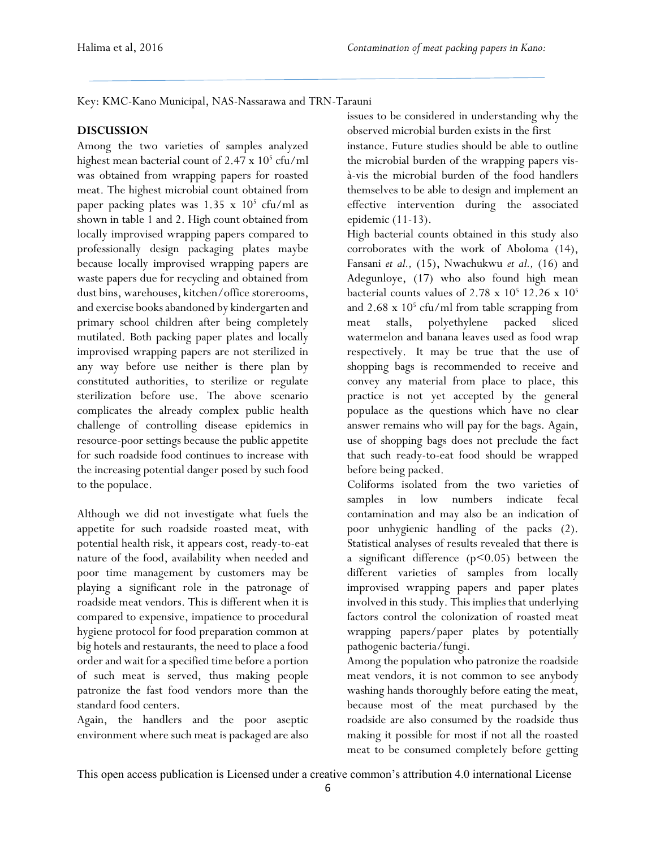Key: KMC-Kano Municipal, NAS-Nassarawa and TRN-Tarauni

## **DISCUSSION**

Among the two varieties of samples analyzed highest mean bacterial count of 2.47 x 10<sup>5</sup> cfu/ml was obtained from wrapping papers for roasted meat. The highest microbial count obtained from paper packing plates was 1.35 x 10<sup>5</sup> cfu/ml as shown in table 1 and 2. High count obtained from locally improvised wrapping papers compared to professionally design packaging plates maybe because locally improvised wrapping papers are waste papers due for recycling and obtained from dust bins, warehouses, kitchen/office storerooms, and exercise books abandoned by kindergarten and primary school children after being completely mutilated. Both packing paper plates and locally improvised wrapping papers are not sterilized in any way before use neither is there plan by constituted authorities, to sterilize or regulate sterilization before use. The above scenario complicates the already complex public health challenge of controlling disease epidemics in resource-poor settings because the public appetite for such roadside food continues to increase with the increasing potential danger posed by such food to the populace.

Although we did not investigate what fuels the appetite for such roadside roasted meat, with potential health risk, it appears cost, ready-to-eat nature of the food, availability when needed and poor time management by customers may be playing a significant role in the patronage of roadside meat vendors. This is different when it is compared to expensive, impatience to procedural hygiene protocol for food preparation common at big hotels and restaurants, the need to place a food order and wait for a specified time before a portion of such meat is served, thus making people patronize the fast food vendors more than the standard food centers.

Again, the handlers and the poor aseptic environment where such meat is packaged are also issues to be considered in understanding why the observed microbial burden exists in the first

instance. Future studies should be able to outline the microbial burden of the wrapping papers visà-vis the microbial burden of the food handlers themselves to be able to design and implement an effective intervention during the associated epidemic (11-13).

High bacterial counts obtained in this study also corroborates with the work of Aboloma (14), Fansani *et al.,* (15), Nwachukwu *et al.,* (16) and Adegunloye, (17) who also found high mean bacterial counts values of  $2.78 \times 10^5$  12.26 x  $10^5$ and 2.68 x 10<sup>5</sup> cfu/ml from table scrapping from meat stalls, polyethylene packed sliced watermelon and banana leaves used as food wrap respectively. It may be true that the use of shopping bags is recommended to receive and convey any material from place to place, this practice is not yet accepted by the general populace as the questions which have no clear answer remains who will pay for the bags. Again, use of shopping bags does not preclude the fact that such ready-to-eat food should be wrapped before being packed.

Coliforms isolated from the two varieties of samples in low numbers indicate fecal contamination and may also be an indication of poor unhygienic handling of the packs (2). Statistical analyses of results revealed that there is a significant difference  $(p<0.05)$  between the different varieties of samples from locally improvised wrapping papers and paper plates involved in this study. This implies that underlying factors control the colonization of roasted meat wrapping papers/paper plates by potentially pathogenic bacteria/fungi.

Among the population who patronize the roadside meat vendors, it is not common to see anybody washing hands thoroughly before eating the meat, because most of the meat purchased by the roadside are also consumed by the roadside thus making it possible for most if not all the roasted meat to be consumed completely before getting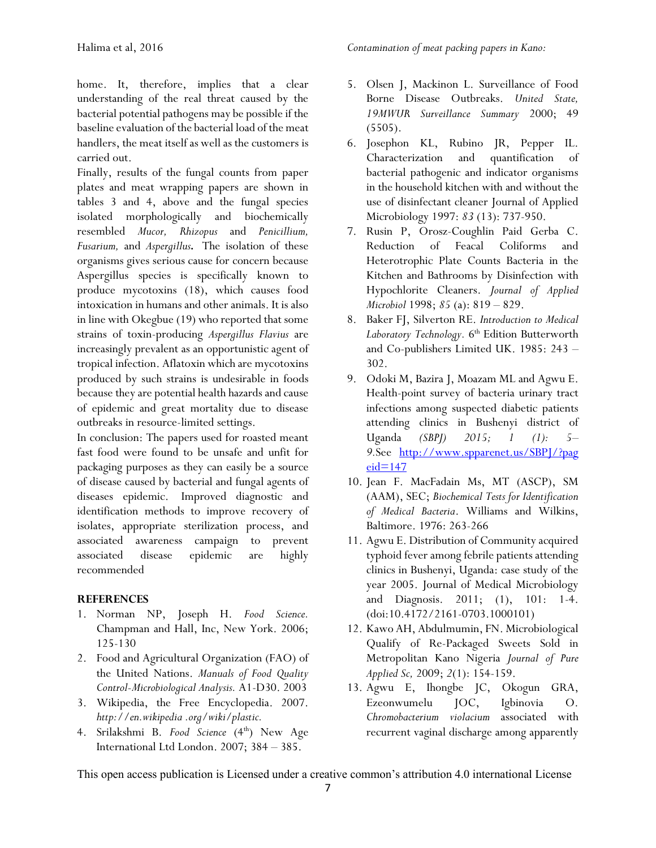home. It, therefore, implies that a clear understanding of the real threat caused by the bacterial potential pathogens may be possible if the baseline evaluation of the bacterial load of the meat handlers, the meat itself as well as the customers is carried out.

Finally, results of the fungal counts from paper plates and meat wrapping papers are shown in tables 3 and 4, above and the fungal species isolated morphologically and biochemically resembled *Mucor, Rhizopus* and *Penicillium, Fusarium,* and *Aspergillus.* The isolation of these organisms gives serious cause for concern because Aspergillus species is specifically known to produce mycotoxins (18), which causes food intoxication in humans and other animals. It is also in line with Okegbue (19) who reported that some strains of toxin-producing *Aspergillus Flavius* are increasingly prevalent as an opportunistic agent of tropical infection. Aflatoxin which are mycotoxins produced by such strains is undesirable in foods because they are potential health hazards and cause of epidemic and great mortality due to disease outbreaks in resource-limited settings.

In conclusion: The papers used for roasted meant fast food were found to be unsafe and unfit for packaging purposes as they can easily be a source of disease caused by bacterial and fungal agents of diseases epidemic. Improved diagnostic and identification methods to improve recovery of isolates, appropriate sterilization process, and associated awareness campaign to prevent associated disease epidemic are highly recommended

#### **REFERENCES**

- 1. Norman NP, Joseph H. *Food Science.*  Champman and Hall, Inc, New York. 2006; 125-130
- 2. Food and Agricultural Organization (FAO) of the United Nations. *Manuals of Food Quality Control-Microbiological Analysis.* A1-D30. 2003
- 3. Wikipedia, the Free Encyclopedia. 2007. *http://en.wikipedia .org/wiki/plastic.*
- 4. Srilakshmi B. *Food Science* (4<sup>th</sup>) New Age International Ltd London. 2007; 384 – 385.
- 5. Olsen J, Mackinon L. Surveillance of Food Borne Disease Outbreaks. *United State, 19MWUR Surveillance Summary* 2000; 49  $(5505).$
- 6. Josephon KL, Rubino JR, Pepper IL. Characterization and quantification of bacterial pathogenic and indicator organisms in the household kitchen with and without the use of disinfectant cleaner Journal of Applied Microbiology 1997: *83* (13): 737-950.
- 7. Rusin P, Orosz-Coughlin Paid Gerba C. Reduction of Feacal Coliforms and Heterotrophic Plate Counts Bacteria in the Kitchen and Bathrooms by Disinfection with Hypochlorite Cleaners. *Journal of Applied Microbiol* 1998; *85* (a): 819 – 829.
- 8. Baker FJ, Silverton RE. *Introduction to Medical*  Laboratory Technology. 6<sup>th</sup> Edition Butterworth and Co-publishers Limited UK. 1985: 243 – 302.
- 9. Odoki M, Bazira J, Moazam ML and Agwu E. Health-point survey of bacteria urinary tract infections among suspected diabetic patients attending clinics in Bushenyi district of Uganda *(SBPJ) 2015; 1 (1): 5– 9.*See [http://www.spparenet.us/SBPJ/?pag](http://www.spparenet.us/SBPJ/?pageid=147)  $eid=147$
- 10. Jean F. MacFadain Ms, MT (ASCP), SM (AAM), SEC; *Biochemical Tests for Identification of Medical Bacteria*. Williams and Wilkins, Baltimore. 1976: 263-266
- 11. Agwu E. Distribution of Community acquired typhoid fever among febrile patients attending clinics in Bushenyi, Uganda: case study of the year 2005. Journal of Medical Microbiology and Diagnosis. 2011; (1), 101: 1-4. (doi:10.4172/2161-0703.1000101)
- 12. Kawo AH, Abdulmumin, FN. Microbiological Qualify of Re-Packaged Sweets Sold in Metropolitan Kano Nigeria *Journal of Pure Applied Sc,* 2009; *2*(1): 154-159.
- 13. Agwu E, Ihongbe JC, Okogun GRA, Ezeonwumelu JOC, Igbinovia O. *Chromobacterium violacium* associated with recurrent vaginal discharge among apparently